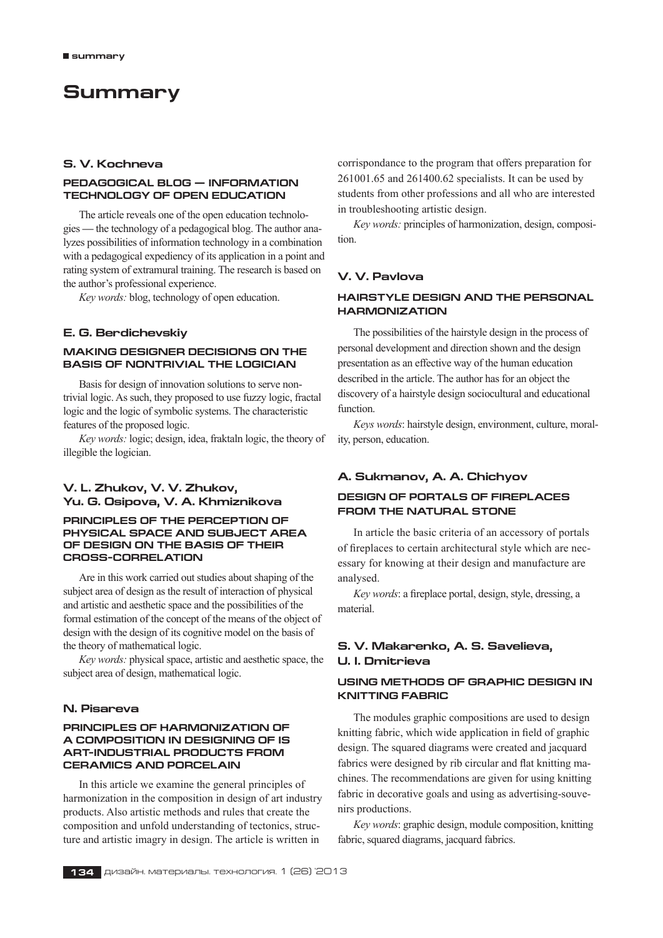# **Summary**

### **S. V. Kochneva**

#### **Pedagogical blog — information technology of open education**

The article reveals one of the open education technologies **—** the technology of a pedagogical blog. The author analyzes possibilities of information technology in a combination with a pedagogical expediency of its application in a point and rating system of extramural training. The research is based on the author's professional experience.

*Key words:* blog, technology of open education.

#### **E. G. Berdichevskiy**

### **MAKING DESIGNER DECISIONS ON THE BASIS OF NONTRIVIAL THE LOGICIAN**

Basis for design of innovation solutions to serve nontrivial logic. As such, they proposed to use fuzzy logic, fractal logic and the logic of symbolic systems. The characteristic features of the proposed logic.

*Key words:* logic; design, idea, fraktaln logic, the theory of illegible the logician.

### **V. L. Zhukov, V. V. Zhukov, Yu. G. Osipova, V. A. Khmiznikova**

### **PRINCIPLES OF THE PERCEPTION OF PHYSICAL SPACE AND SUBJECT AREA OF DESIGN ON THE BASIS OF THEIR CROSS-CORRELATION**

Are in this work carried out studies about shaping of the subject area of design as the result of interaction of physical and artistic and aesthetic space and the possibilities of the formal estimation of the concept of the means of the object of design with the design of its cognitive model on the basis of the theory of mathematical logic.

*Key words:* physical space, artistic and aesthetic space, the subject area of design, mathematical logic.

### **N. Pisareva**

#### **Principles of harmonization of a composition in designing of is art-industrial products from ceramics and porcelain**

In this article we examine the general principles of harmonization in the composition in design of art industry products. Also artistic methods and rules that create the composition and unfold understanding of tectonics, structure and artistic imagry in design. The article is written in

corrispondance to the program that offers preparation for 261001.65 and 261400.62 specialists. It can be used by students from other professions and all who are interested in troubleshooting artistic design.

*Key words:* principles of harmonization, design, composition.

# **V. V. Pavlova**

### **Hairstyle design and the personal harmonization**

The possibilities of the hairstyle design in the process of personal development and direction shown and the design presentation as an effective way of the human education described in the article. The author has for an object the discovery of a hairstyle design sociocultural and educational function.

*Keys words*: hairstyle design, environment, culture, morality, person, education.

### **A. Sukmanov, A. A. Chichyov**

### **DESIGN OF PORTALS OF FIREPLACES FROM THE NATURAL STONE**

In article the basic criteria of an accessory of portals of fireplaces to certain architectural style which are necessary for knowing at their design and manufacture are analysed.

*Key words*: a fireplace portal, design, style, dressing, a material.

## **S. V. Makarenko, A. S. Savelieva, U. I. Dmitrieva**

### **Using methods of graphic design in knitting fabric**

The modules graphic compositions are used to design knitting fabric, which wide application in field of graphic design. The squared diagrams were created and jacquard fabrics were designed by rib circular and flat knitting machines. The recommendations are given for using knitting fabric in decorative goals and using as advertising-souvenirs productions.

*Key words*: graphic design, module composition, knitting fabric, squared diagrams, jacquard fabrics.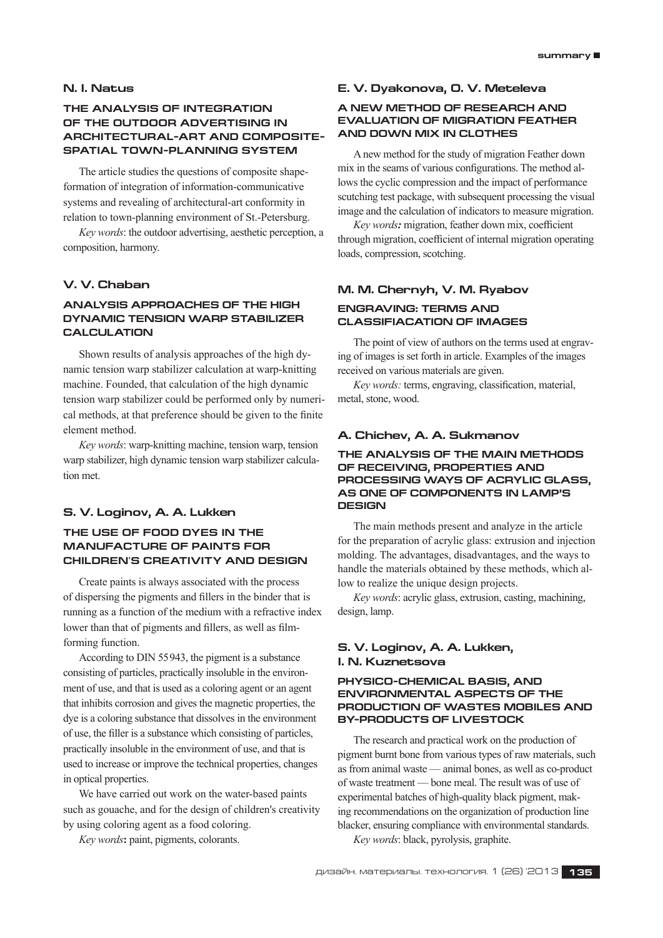### **N. I. Natus**

### **THE ANALYSIS OF INTEGRATION OF THE OUTDOOR ADVERTISING IN ARCHITECTURAL-ART AND COMPOSITE-SPATIAL TOWN-PLANNING SYSTEM**

The article studies the questions of composite shapeformation of integration of information-communicative systems and revealing of architectural-art conformity in relation to town-planning environment of St.‑Petersburg.

*Key words*: the outdoor advertising, aesthetic perception, a composition, harmony.

### **V. V. Chaban**

### **ANALYSIS APPROACHES OF THE HIGH DYNAMIC TENSION WARP STABILIZER CALCULATION**

Shown results of analysis approaches of the high dynamic tension warp stabilizer calculation at warp-knitting machine. Founded, that calculation of the high dynamic tension warp stabilizer could be performed only by numerical methods, at that preference should be given to the finite element method.

*Key words*: warp-knitting machine, tension warp, tension warp stabilizer, high dynamic tension warp stabilizer calculation met.

#### **S. V. Loginov, A. A. Lukken**

# **The use of food dyes in the manufacture of paints for children's creativity and design**

Create paints is always associated with the process of dispersing the pigments and fillers in the binder that is running as a function of the medium with a refractive index lower than that of pigments and fillers, as well as filmforming function.

According to DIN 55943, the pigment is a substance consisting of particles, practically insoluble in the environment of use, and that is used as a coloring agent or an agent that inhibits corrosion and gives the magnetic properties, the dye is a coloring substance that dissolves in the environment of use, the filler is a substance which consisting of particles, practically insoluble in the environment of use, and that is used to increase or improve the technical properties, changes in optical properties.

We have carried out work on the water-based paints such as gouache, and for the design of children's creativity by using coloring agent as a food coloring.

*Key words***:** paint, pigments, colorants.

#### **E. V. Dyakonova, O. V. Meteleva**

#### **A NEW METHOD OF RESEARCH AND EVALUATION OF MIGRATION Feather and Down MIX In clothes**

A new method for the study of migration Feather down mix in the seams of various configurations. The method allows the cyclic compression and the impact of performance scutching test package, with subsequent processing the visual image and the calculation of indicators to measure migration.

*Key words:* migration, feather down mix, coefficient through migration, coefficient of internal migration operating loads, compression, scotching.

# **M. M. Chernyh, V. M. Ryabov ENGRAVING: TERMS AND CLASSIFIACATION OF IMAGES**

The point of view of authors on the terms used at engraving of images is set forth in article. Examples of the images received on various materials are given.

*Key words:* terms, engraving, classification, material, metal, stone, wood.

#### **A. Chichev, A. A. Sukmanov**

### **THE ANALYSIS OF THE MAIN METHODS OF RECEIVING, PROPERTIES AND PROCESSING WAYS OF ACRYLIC GLASS, AS ONE OF COMPONENTS IN LAMP'S DESIGN**

The main methods present and analyze in the article for the preparation of acrylic glass: extrusion and injection molding. The advantages, disadvantages, and the ways to handle the materials obtained by these methods, which allow to realize the unique design projects.

*Key words*: acrylic glass, extrusion, casting, machining, design, lamp.

### **S. V. Loginov, A. A. Lukken, I. N. Kuznetsovа**

#### **Physico-chemical basis, and environmental aspects of the production of wastes mobiles and by-products of livestock**

The research and practical work on the production of pigment burnt bone from various types of raw materials, such as from animal waste — animal bones, as well as co-product of waste treatment — bone meal. The result was of use of experimental batches of high-quality black pigment, making recommendations on the organization of production line blacker, ensuring compliance with environmental standards.

*Key words*: black, pyrolysis, graphite.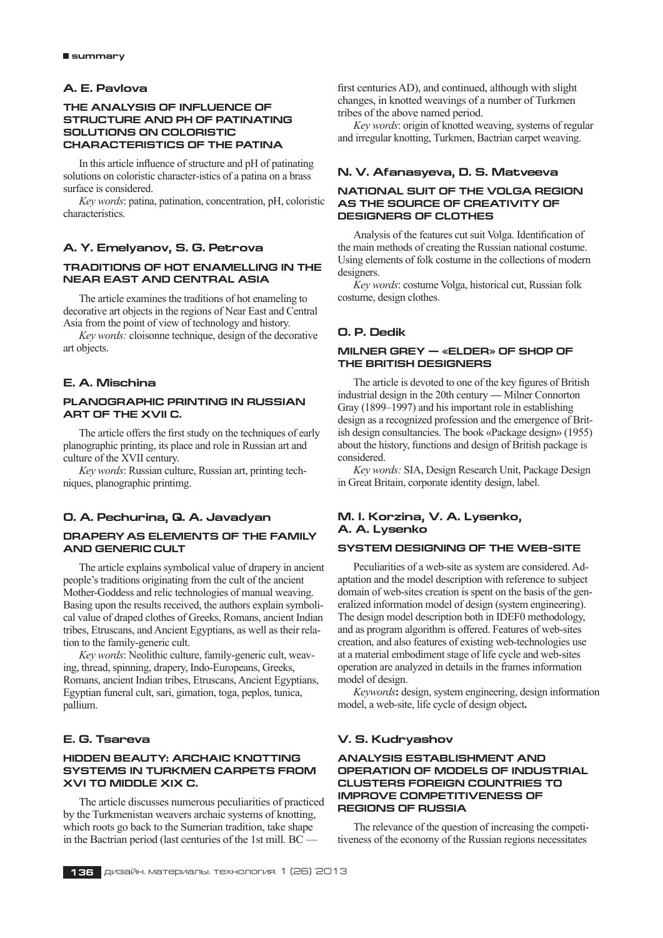### **A. E. Pavlova**

#### **THE ANALYSIS OF INFLUENCE OF STRUCTURE AND PH OF PATINATING SOLUTIONS ON COLORISTIC CHARACTERISTICS OF THE PATINA**

In this article influence of structure and pH of patinating solutions on coloristic character-istics of a patina on a brass surface is considered.

*Key words*: patina, patination, concentration, pH, coloristic characteristics.

### **A. Y. Emelyanov, S. G. Petrova**

### **Traditions of hot enamelling in the Near East and Central Asia**

The article examines the traditions of hot enameling to decorative art objects in the regions of Near East and Central Asia from the point of view of technology and history.

*Key words:* cloisonne technique, design of the decorative art objects.

# **E. A. Mischina**

### **Planographic printing in Russian art of the XVII c.**

The article offers the first study on the techniques of early planographic printing, its place and role in Russian art and culture of the XVII century.

*Key words*: Russian culture, Russian art, printing techniques, planographic printimg.

### **O. A. Pechurina, Q. A. Javadyan**

#### **DRAPERY AS ELEMENTS OF THE FAMILY AND GENERIC CULT**

The article explains symbolical value of drapery in ancient people's traditions originating from the cult of the ancient Mother-Goddess and relic technologies of manual weaving. Basing upon the results received, the authors explain symbolical value of draped clothes of Greeks, Romans, ancient Indian tribes, Etruscans, and Ancient Egyptians, as well as their relation to the family-generic cult.

*Key words*: Neolithic culture, family-generic cult, weaving, thread, spinning, drapery, Indo-Europeans, Greeks, Romans, ancient Indian tribes, Etruscans, Ancient Egyptians, Egyptian funeral cult, sari, gimation, toga, peplos, tunica, pallium.

### **E. G. Tsareva**

#### **HIDDEN BEAUTY: ARCHAIC KNOTTING SYSTEMS IN TURKMEN CARPETS FROM XVI TO MIDDLE XIX c.**

The article discusses numerous peculiarities of practiced by the Turkmenistan weavers archaic systems of knotting, which roots go back to the Sumerian tradition, take shape in the Bactrian period (last centuries of the 1st mill. BC —

first centuries AD), and continued, although with slight changes, in knotted weavings of a number of Turkmen tribes of the above named period.

*Key words*: origin of knotted weaving, systems of regular and irregular knotting, Turkmen, Bactrian carpet weaving.

### **N. V. Afanasyeva, D. S. Matveeva**

#### **NATIONAL SUIT OF THE VOLGA REGION AS THE SOURCE OF CREATIVITY OF DESIGNERS OF CLOTHES**

Analysis of the features cut suit Volga. Identification of the main methods of creating the Russian national costume. Using elements of folk costume in the collections of modern designers.

*Key words*: costume Volga, historical cut, Russian folk costume, design clothes.

#### **O. P. Dedik**

#### **MILNER GREY — «ELDER» OF SHOP OF THE BRITISH DESIGNERS**

The article is devoted to one of the key figures of British industrial design in the 20th century **—** Milner Connorton Gray (1899–1997) and his important role in establishing design as a recognized profession and the emergence of British design consultancies. The book «Package design» (1955) about the history, functions and design of British package is considered.

*Key words:* SIA, Design Research Unit, Package Design in Great Britain, corporate identity design, label.

# **M. I. Korzina, V. A. Lysenko, A. A. Lysenko**

#### **system designing of the web-site**

Peculiarities of a web-site as system are considered. Adaptation and the model description with reference to subject domain of web-sites creation is spent on the basis of the generalized information model of design (system engineering). The design model description both in IDEF0 methodology, and as program algorithm is offered. Features of web-sites creation, and also features of existing web-technologies use at a material embodiment stage of life cycle and web-sites operation are analyzed in details in the frames information model of design.

*Keywords***:** design, system engineering, design information model, a web-site, life cycle of design object**.**

### **V. S. Kudryashov**

#### **ANALYSIS ESTABLISHMENT AND OPERATION OF MODELS OF INDUSTRIAL CLUSTERS FOREIGN COUNTRIES TO IMPROVE COMPETITIVENESS OF REGIONS OF RUSSIA**

The relevance of the question of increasing the competitiveness of the economy of the Russian regions necessitates